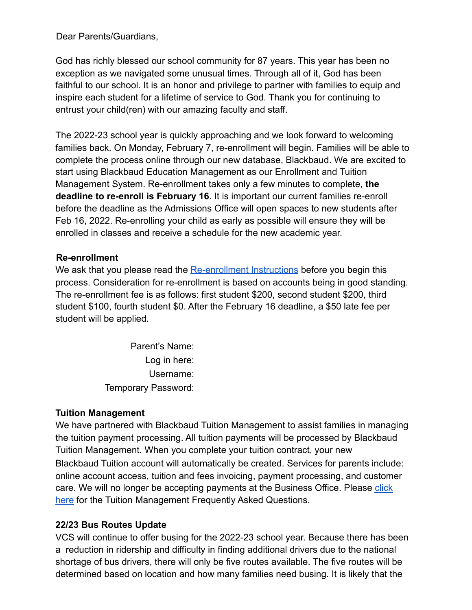Dear Parents/Guardians,

God has richly blessed our school community for 87 years. This year has been no exception as we navigated some unusual times. Through all of it, God has been faithful to our school. It is an honor and privilege to partner with families to equip and inspire each student for a lifetime of service to God. Thank you for continuing to entrust your child(ren) with our amazing faculty and staff.

The 2022-23 school year is quickly approaching and we look forward to welcoming families back. On Monday, February 7, re-enrollment will begin. Families will be able to complete the process online through our new database, Blackbaud. We are excited to start using Blackbaud Education Management as our Enrollment and Tuition Management System. Re-enrollment takes only a few minutes to complete, **the deadline to re-enroll is February 16**. It is important our current families re-enroll before the deadline as the Admissions Office will open spaces to new students after Feb 16, 2022. Re-enrolling your child as early as possible will ensure they will be enrolled in classes and receive a schedule for the new academic year.

## **Re-enrollment**

We ask that you please read the [Re-enrollment Instructions](https://drive.google.com/file/d/1Xchjf_0cTP-8jZrAxg8srJicHglfefgR/view?usp=sharing) before you begin this process. Consideration for re-enrollment is based on accounts being in good standing. The re-enrollment fee is as follows: first student \$200, second student \$200, third student \$100, fourth student \$0. After the February 16 deadline, a \$50 late fee per student will be applied.

> Parent's Name: Log in here: Username: Temporary Password:

## **Tuition Management**

We have partnered with Blackbaud Tuition Management to assist families in managing the tuition payment processing. All tuition payments will be processed by Blackbaud Tuition Management. When you complete your tuition contract, your new Blackbaud Tuition account will automatically be created. Services for parents include:

online account access, tuition and fees invoicing, payment processing, and customer care. We will no longer be accepting payments at the Business Office. Please [click](https://drive.google.com/file/d/1CUKFAg5n_KjhKy1N9rbVBZ-EdoxREsQI/view?usp=sharing) [here](https://drive.google.com/file/d/1CUKFAg5n_KjhKy1N9rbVBZ-EdoxREsQI/view?usp=sharing) for the Tuition Management Frequently Asked Questions.

## **22/23 Bus Routes Update**

VCS will continue to offer busing for the 2022-23 school year. Because there has been a reduction in ridership and difficulty in finding additional drivers due to the national shortage of bus drivers, there will only be five routes available. The five routes will be determined based on location and how many families need busing. It is likely that the